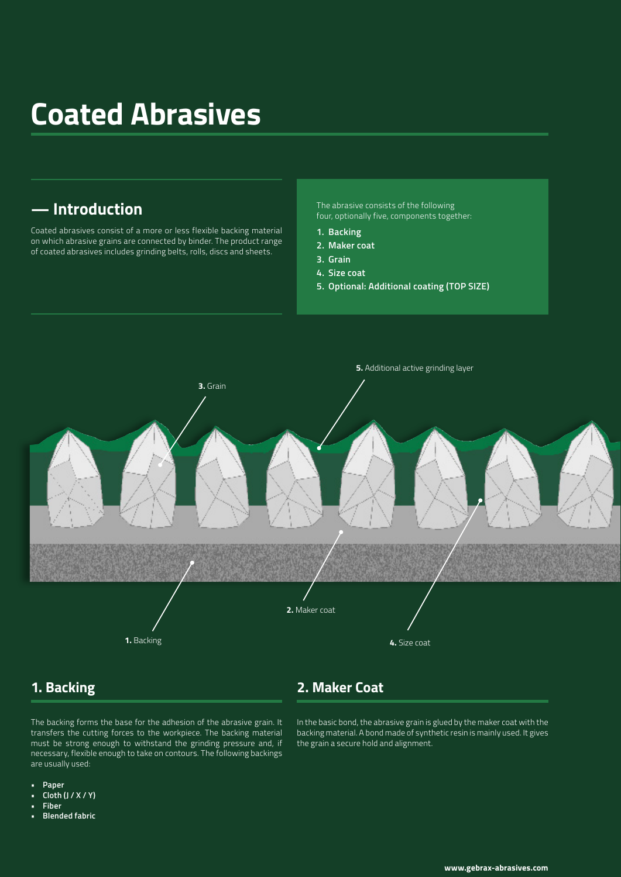# **Coated Abrasives**

# **— Introduction**

Coated abrasives consist of a more or less flexible backing material on which abrasive grains are connected by binder. The product range of coated abrasives includes grinding belts, rolls, discs and sheets.

The abrasive consists of the following four, optionally five, components together:

- **1. Backing**
- **2. Maker coat**
- **3. Grain**
- **4. Size coat**
- **5. Optional: Additional coating (TOP SIZE)**



### **1. Backing**

#### **2. Maker Coat**

The backing forms the base for the adhesion of the abrasive grain. It transfers the cutting forces to the workpiece. The backing material must be strong enough to withstand the grinding pressure and, if necessary, flexible enough to take on contours. The following backings are usually used:

In the basic bond, the abrasive grain is glued by the maker coat with the backing material. A bond made of synthetic resin is mainly used. It gives the grain a secure hold and alignment.

- **• Paper**
- **• Cloth (J / X / Y)**
- **• Fiber**
- **• Blended fabric**